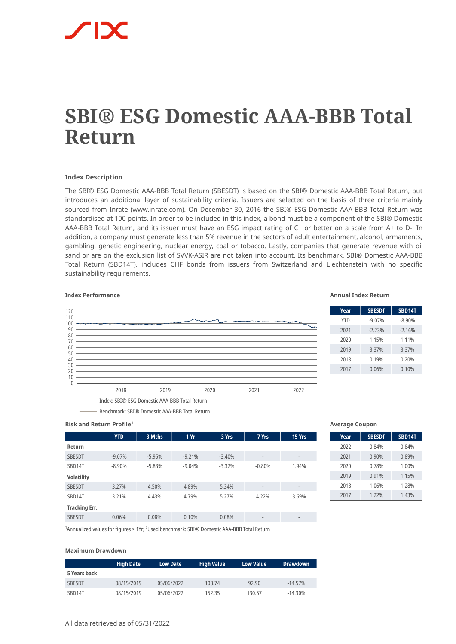# **SBI® ESG Domestic AAA-BBB Total Return**

#### **Index Description**

The SBI® ESG Domestic AAA-BBB Total Return (SBESDT) is based on the SBI® Domestic AAA-BBB Total Return, but introduces an additional layer of sustainability criteria. Issuers are selected on the basis of three criteria mainly sourced from Inrate (www.inrate.com). On December 30, 2016 the SBI® ESG Domestic AAA-BBB Total Return was standardised at 100 points. In order to be included in this index, a bond must be a component of the SBI® Domestic AAA-BBB Total Return, and its issuer must have an ESG impact rating of C+ or better on a scale from A+ to D-. In addition, a company must generate less than 5% revenue in the sectors of adult entertainment, alcohol, armaments, gambling, genetic engineering, nuclear energy, coal or tobacco. Lastly, companies that generate revenue with oil sand or are on the exclusion list of SVVK-ASIR are not taken into account. Its benchmark, SBI® Domestic AAA-BBB Total Return (SBD14T), includes CHF bonds from issuers from Switzerland and Liechtenstein with no specific sustainability requirements.

#### **Index Performance Annual Index Return**



| Year       | <b>SBESDT</b> | <b>SBD14T</b> |
|------------|---------------|---------------|
| <b>YTD</b> | $-9.07%$      | $-8.90%$      |
| 2021       | $-2.23%$      | $-2.16%$      |
| 2020       | 1.15%         | 1.11%         |
| 2019       | 3.37%         | 3.37%         |
| 2018       | 0.19%         | 0.20%         |
| 2017       | 0.06%         | 0.10%         |

# **Risk and Return Profile<sup>1</sup>**

|                      | <b>YTD</b> | 3 Mths   | 1 Yr     | 3 Yrs    | 7 Yrs                        | 15 Yrs                   |
|----------------------|------------|----------|----------|----------|------------------------------|--------------------------|
| Return               |            |          |          |          |                              |                          |
| <b>SBESDT</b>        | $-9.07%$   | $-5.95%$ | $-9.21%$ | $-3.40%$ | $\qquad \qquad \blacksquare$ | $\overline{\phantom{a}}$ |
| SBD14T               | $-8.90%$   | $-5.83%$ | $-9.04%$ | $-3.32%$ | $-0.80%$                     | 1.94%                    |
| <b>Volatility</b>    |            |          |          |          |                              |                          |
| <b>SBESDT</b>        | 3.27%      | 4.50%    | 4.89%    | 5.34%    | $\overline{\phantom{0}}$     | $\overline{\phantom{a}}$ |
| SBD14T               | 3.21%      | 4.43%    | 4.79%    | 5.27%    | 4.22%                        | 3.69%                    |
| <b>Tracking Err.</b> |            |          |          |          |                              |                          |
| <b>SBESDT</b>        | 0.06%      | 0.08%    | 0.10%    | 0.08%    | $\overline{\phantom{0}}$     | $\overline{a}$           |

#### **Average Coupon**

| Year | <b>SBESDT</b> | <b>SBD14T</b> |
|------|---------------|---------------|
| 2022 | 0.84%         | 0.84%         |
| 2021 | 0.90%         | 0.89%         |
| 2020 | 0.78%         | 1.00%         |
| 2019 | 0.91%         | 1.15%         |
| 2018 | 1.06%         | 1.28%         |
| 2017 | $1.22\%$      | 1.43%         |

<sup>1</sup> Annualized values for figures > 1Yr; <sup>2</sup> Used benchmark: SBI® Domestic AAA-BBB Total Return

Benchmark: SBI® Domestic AAA-BBB Total Return

### **Maximum Drawdown**

|               | <b>High Date</b> | <b>Low Date</b> | <b>High Value</b> | <b>Low Value</b> | <b>Drawdown</b> |
|---------------|------------------|-----------------|-------------------|------------------|-----------------|
| 5 Years back  |                  |                 |                   |                  |                 |
| <b>SBESDT</b> | 08/15/2019       | 05/06/2022      | 108.74            | 92.90            | $-14.57%$       |
| SBD14T        | 08/15/2019       | 05/06/2022      | 152.35            | 130.57           | $-14.30\%$      |